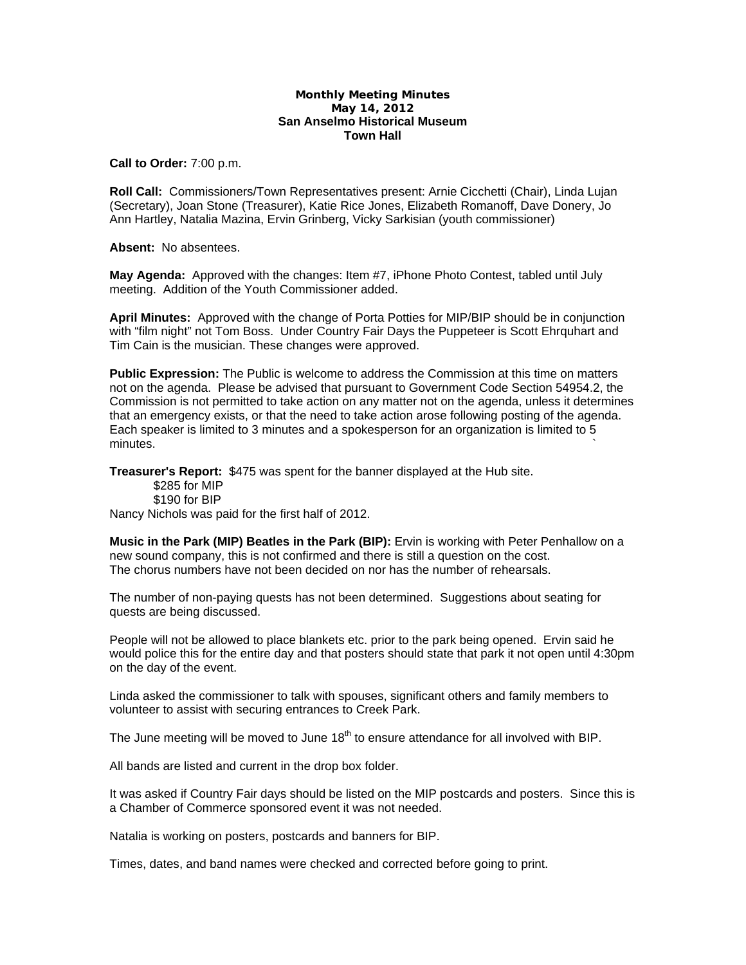## **Monthly Meeting Minutes May 14, 2012 San Anselmo Historical Museum Town Hall**

**Call to Order:** 7:00 p.m.

**Roll Call:** Commissioners/Town Representatives present: Arnie Cicchetti (Chair), Linda Lujan (Secretary), Joan Stone (Treasurer), Katie Rice Jones, Elizabeth Romanoff, Dave Donery, Jo Ann Hartley, Natalia Mazina, Ervin Grinberg, Vicky Sarkisian (youth commissioner)

**Absent:** No absentees.

**May Agenda:** Approved with the changes: Item #7, iPhone Photo Contest, tabled until July meeting. Addition of the Youth Commissioner added.

**April Minutes:** Approved with the change of Porta Potties for MIP/BIP should be in conjunction with "film night" not Tom Boss. Under Country Fair Days the Puppeteer is Scott Ehrquhart and Tim Cain is the musician. These changes were approved.

**Public Expression:** The Public is welcome to address the Commission at this time on matters not on the agenda. Please be advised that pursuant to Government Code Section 54954.2, the Commission is not permitted to take action on any matter not on the agenda, unless it determines that an emergency exists, or that the need to take action arose following posting of the agenda. Each speaker is limited to 3 minutes and a spokesperson for an organization is limited to 5  $m$ inutes.  $\sim$ 

**Treasurer's Report:** \$475 was spent for the banner displayed at the Hub site.

 \$285 for MIP \$190 for BIP

Nancy Nichols was paid for the first half of 2012.

**Music in the Park (MIP) Beatles in the Park (BIP):** Ervin is working with Peter Penhallow on a new sound company, this is not confirmed and there is still a question on the cost. The chorus numbers have not been decided on nor has the number of rehearsals.

The number of non-paying quests has not been determined. Suggestions about seating for quests are being discussed.

People will not be allowed to place blankets etc. prior to the park being opened. Ervin said he would police this for the entire day and that posters should state that park it not open until 4:30pm on the day of the event.

Linda asked the commissioner to talk with spouses, significant others and family members to volunteer to assist with securing entrances to Creek Park.

The June meeting will be moved to June  $18<sup>th</sup>$  to ensure attendance for all involved with BIP.

All bands are listed and current in the drop box folder.

It was asked if Country Fair days should be listed on the MIP postcards and posters. Since this is a Chamber of Commerce sponsored event it was not needed.

Natalia is working on posters, postcards and banners for BIP.

Times, dates, and band names were checked and corrected before going to print.